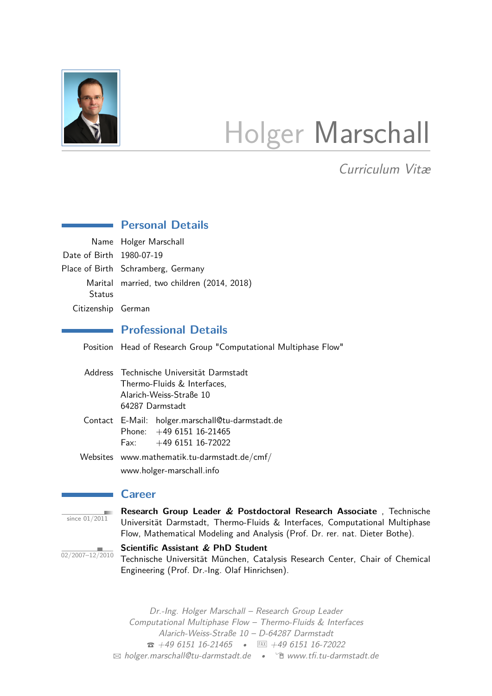<span id="page-0-0"></span>

# Holger Marschall

Curriculum Vitæ

|                          | <b>Personal Details</b>                                                                                                                                                                                                            |  |  |  |
|--------------------------|------------------------------------------------------------------------------------------------------------------------------------------------------------------------------------------------------------------------------------|--|--|--|
|                          | Name Holger Marschall                                                                                                                                                                                                              |  |  |  |
| Date of Birth 1980-07-19 |                                                                                                                                                                                                                                    |  |  |  |
|                          | Place of Birth Schramberg, Germany                                                                                                                                                                                                 |  |  |  |
| <b>Status</b>            | Marital married, two children (2014, 2018)                                                                                                                                                                                         |  |  |  |
| Citizenship German       |                                                                                                                                                                                                                                    |  |  |  |
|                          | <b>Professional Details</b>                                                                                                                                                                                                        |  |  |  |
|                          | Position Head of Research Group "Computational Multiphase Flow"                                                                                                                                                                    |  |  |  |
|                          | Address Technische Universität Darmstadt<br>Thermo-Fluids & Interfaces,<br>Alarich-Weiss-Straße 10<br>64287 Darmstadt                                                                                                              |  |  |  |
|                          | Contact E-Mail: holger.marschall@tu-darmstadt.de<br>Phone: $+49615116-21465$<br>Fax: $+49615116-72022$                                                                                                                             |  |  |  |
|                          | Websites www.mathematik.tu-darmstadt.de/cmf/<br>www.holger-marschall.info                                                                                                                                                          |  |  |  |
|                          | <b>Career</b>                                                                                                                                                                                                                      |  |  |  |
| since $01/2011$          | Research Group Leader & Postdoctoral Research Associate, Technische<br>Universität Darmstadt, Thermo-Fluids & Interfaces, Computational Multiphase<br>Flow, Mathematical Modeling and Analysis (Prof. Dr. rer. nat. Dieter Bothe). |  |  |  |

 $\frac{1}{02/2007-12/2010}$ 

**Scientific Assistant & PhD Student** Technische Universität München, Catalysis Research Center, Chair of Chemical Engineering (Prof. Dr.-Ing. Olaf Hinrichsen).

Dr.-Ing. Holger Marschall – Research Group Leader Computational Multiphase Flow – Thermo-Fluids & Interfaces Alarich-Weiss-Straße 10 – D-64287 Darmstadt  $\bullet$  [+49 6151 16-21465](tel:+4961511621465)  $\bullet$  FAX +49 6151 16-72022 <sup>B</sup> [holger.marschall@tu-darmstadt.de](mailto:holger.marschall@tu-darmstadt.de) • Í [www.tfi.tu-darmstadt.de](http://www.tfi.tu-darmstadt.de)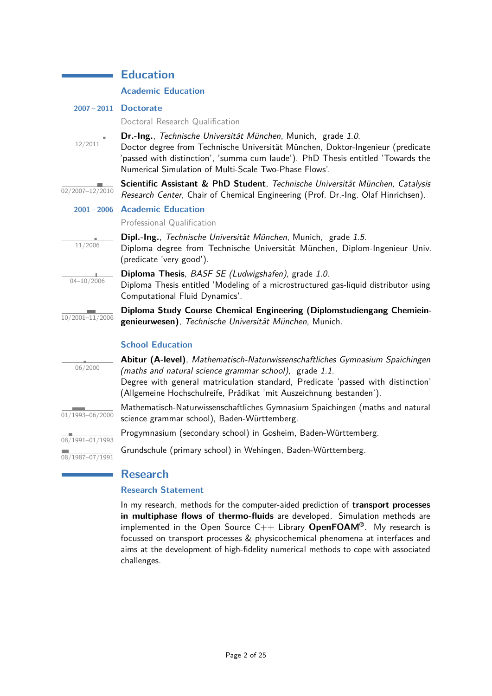|                              | <b>Education</b>                                                                                                                                                                                                                                                                                 |
|------------------------------|--------------------------------------------------------------------------------------------------------------------------------------------------------------------------------------------------------------------------------------------------------------------------------------------------|
|                              | <b>Academic Education</b>                                                                                                                                                                                                                                                                        |
|                              | 2007-2011 Doctorate                                                                                                                                                                                                                                                                              |
|                              | Doctoral Research Qualification                                                                                                                                                                                                                                                                  |
| 12/2011                      | Dr.-Ing., Technische Universität München, Munich, grade 1.0.<br>Doctor degree from Technische Universität München, Doktor-Ingenieur (predicate<br>'passed with distinction', 'summa cum laude'). PhD Thesis entitled 'Towards the<br>Numerical Simulation of Multi-Scale Two-Phase Flows'.       |
| 02/2007-12/2010              | Scientific Assistant & PhD Student, Technische Universität München, Catalysis<br>Research Center, Chair of Chemical Engineering (Prof. Dr.-Ing. Olaf Hinrichsen).                                                                                                                                |
|                              | 2001-2006 Academic Education                                                                                                                                                                                                                                                                     |
|                              | Professional Qualification                                                                                                                                                                                                                                                                       |
| 11/2006                      | Dipl.-Ing., Technische Universität München, Munich, grade 1.5.<br>Diploma degree from Technische Universität München, Diplom-Ingenieur Univ.<br>(predicate 'very good').                                                                                                                         |
| $04 - 10 / 2006$             | Diploma Thesis, BASF SE (Ludwigshafen), grade 1.0.<br>Diploma Thesis entitled 'Modeling of a microstructured gas-liquid distributor using<br>Computational Fluid Dynamics'.                                                                                                                      |
| 10/2001-11/2006              | Diploma Study Course Chemical Engineering (Diplomstudiengang Chemiein-<br>genieurwesen), Technische Universität München, Munich.                                                                                                                                                                 |
|                              | <b>School Education</b>                                                                                                                                                                                                                                                                          |
| 06/2000                      | Abitur (A-level), Mathematisch-Naturwissenschaftliches Gymnasium Spaichingen<br>(maths and natural science grammar school), grade 1.1.<br>Degree with general matriculation standard, Predicate 'passed with distinction'<br>(Allgemeine Hochschulreife, Prädikat 'mit Auszeichnung bestanden'). |
| 01/1993-06/2000              | Mathematisch-Naturwissenschaftliches Gymnasium Spaichingen (maths and natural<br>science grammar school), Baden-Württemberg.                                                                                                                                                                     |
| $\frac{08}{1991 - 01}{1993}$ | Progymnasium (secondary school) in Gosheim, Baden-Württemberg.                                                                                                                                                                                                                                   |
| 08/1987-07/1991              | Grundschule (primary school) in Wehingen, Baden-Württemberg.                                                                                                                                                                                                                                     |

# **Research**

# **Research Statement**

In my research, methods for the computer-aided prediction of **transport processes in multiphase flows of thermo-fluids** are developed. Simulation methods are implemented in the Open Source C++ Library **OpenFOAM®**. My research is focussed on transport processes & physicochemical phenomena at interfaces and aims at the development of high-fidelity numerical methods to cope with associated challenges.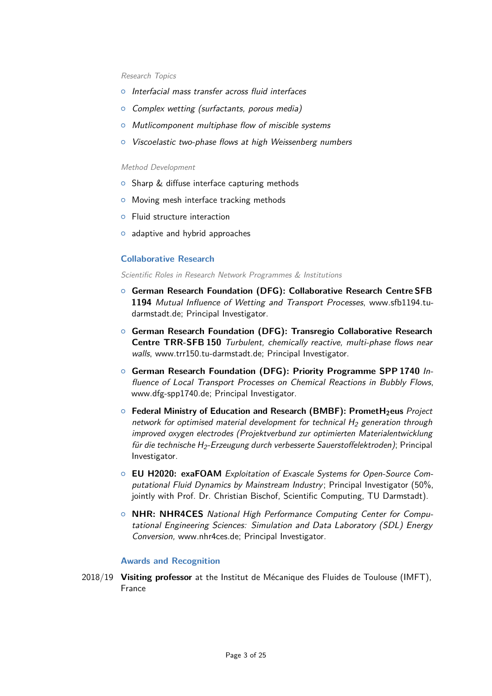#### Research Topics

- o Interfacial mass transfer across fluid interfaces
- $\circ$  Complex wetting (surfactants, porous media)
- $\circ$  Mutlicomponent multiphase flow of miscible systems
- <sup>o</sup> Viscoelastic two-phase flows at high Weissenberg numbers

#### Method Development

- $\circ$  Sharp & diffuse interface capturing methods
- o Moving mesh interface tracking methods
- $\circ$  Fluid structure interaction
- $\circ$  adaptive and hybrid approaches

#### **Collaborative Research**

Scientific Roles in Research Network Programmes & Institutions

- { **German Research Foundation (DFG): Collaborative Research Centre SFB 1194** Mutual Influence of Wetting and Transport Processes, [www.sfb1194.tu](https://www.sfb1194.tu-darmstadt.de/sfb_1194/index.en.jsp)[darmstadt.de;](https://www.sfb1194.tu-darmstadt.de/sfb_1194/index.en.jsp) Principal Investigator.
- { **German Research Foundation (DFG): Transregio Collaborative Research Centre TRR-SFB 150** Turbulent, chemically reactive, multi-phase flows near walls, [www.trr150.tu-darmstadt.de;](https://www.trr150.tu-darmstadt.de) Principal Investigator.
- { **German Research Foundation (DFG): Priority Programme SPP 1740** Influence of Local Transport Processes on Chemical Reactions in Bubbly Flows, [www.dfg-spp1740.de;](http://www.dfg-spp1740.de) Principal Investigator.
- { **Federal Ministry of Education and Research (BMBF): PrometH2eus** Project network for optimised material development for technical  $H_2$  generation through improved oxygen electrodes (Projektverbund zur optimierten Materialentwicklung für die technische H<sub>2</sub>-Erzeugung durch verbesserte Sauerstoffelektroden); Principal Investigator.
- { **EU H2020: exaFOAM** Exploitation of Exascale Systems for Open-Source Computational Fluid Dynamics by Mainstream Industry; Principal Investigator (50%, jointly with Prof. Dr. Christian Bischof, Scientific Computing, TU Darmstadt).
- { **NHR: NHR4CES** National High Performance Computing Center for Computational Engineering Sciences: Simulation and Data Laboratory (SDL) Energy Conversion, [www.nhr4ces.de;](https://www.nhr4ces.de) Principal Investigator.

#### **Awards and Recognition**

2018/19 **Visiting professor** at the Institut de Mécanique des Fluides de Toulouse (IMFT), France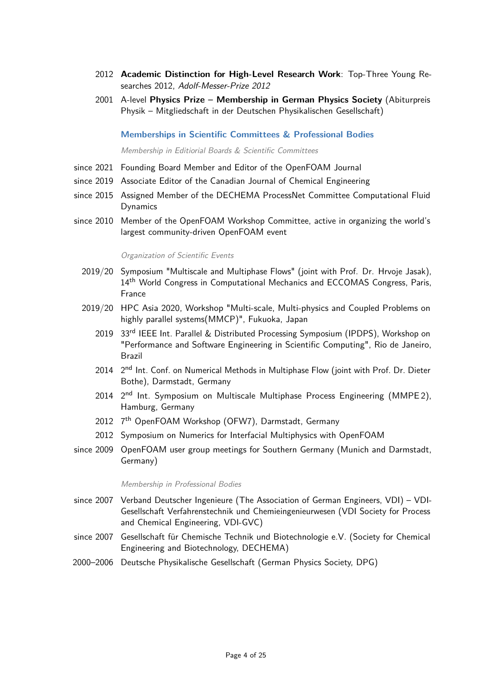- 2012 **Academic Distinction for High-Level Research Work**: Top-Three Young Researches 2012, Adolf-Messer-Prize 2012
- 2001 A-level **Physics Prize Membership in German Physics Society** (Abiturpreis Physik – Mitgliedschaft in der Deutschen Physikalischen Gesellschaft)

**Memberships in Scientific Committees & Professional Bodies**

Membership in Editiorial Boards & Scientific Committees

- since 2021 Founding Board Member and Editor of the OpenFOAM Journal
- since 2019 Associate Editor of the Canadian Journal of Chemical Engineering
- since 2015 Assigned Member of the DECHEMA ProcessNet Committee Computational Fluid Dynamics
- since 2010 Member of the OpenFOAM Workshop Committee, active in organizing the world's largest community-driven OpenFOAM event

#### Organization of Scientific Events

- 2019/20 Symposium "Multiscale and Multiphase Flows" (joint with Prof. Dr. Hrvoje Jasak), 14<sup>th</sup> World Congress in Computational Mechanics and ECCOMAS Congress, Paris, France
- 2019/20 HPC Asia 2020, Workshop "Multi-scale, Multi-physics and Coupled Problems on highly parallel systems(MMCP)", Fukuoka, Japan
	- 2019 33<sup>rd</sup> IEEE Int. Parallel & Distributed Processing Symposium (IPDPS), Workshop on "Performance and Software Engineering in Scientific Computing", Rio de Janeiro, Brazil
	- 2014 2<sup>nd</sup> Int. Conf. on Numerical Methods in Multiphase Flow (joint with Prof. Dr. Dieter Bothe), Darmstadt, Germany
	- 2014 2<sup>nd</sup> Int. Symposium on Multiscale Multiphase Process Engineering (MMPE2), Hamburg, Germany
	- 2012 7<sup>th</sup> OpenFOAM Workshop (OFW7), Darmstadt, Germany
	- 2012 Symposium on Numerics for Interfacial Multiphysics with OpenFOAM
- since 2009 OpenFOAM user group meetings for Southern Germany (Munich and Darmstadt, Germany)

Membership in Professional Bodies

- since 2007 Verband Deutscher Ingenieure (The Association of German Engineers, VDI) VDI-Gesellschaft Verfahrenstechnik und Chemieingenieurwesen (VDI Society for Process and Chemical Engineering, VDI-GVC)
- since 2007 Gesellschaft für Chemische Technik und Biotechnologie e.V. (Society for Chemical Engineering and Biotechnology, DECHEMA)
- 2000–2006 Deutsche Physikalische Gesellschaft (German Physics Society, DPG)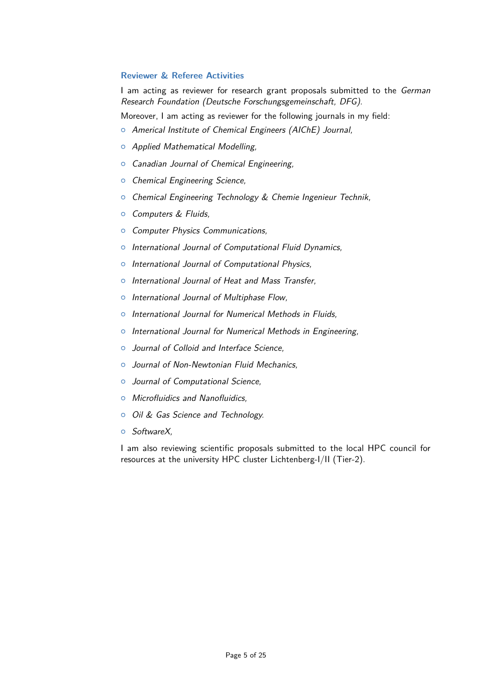#### **Reviewer & Referee Activities**

I am acting as reviewer for research grant proposals submitted to the German Research Foundation (Deutsche Forschungsgemeinschaft, DFG).

Moreover, I am acting as reviewer for the following journals in my field:

- <sup>o</sup> Americal Institute of Chemical Engineers (AIChE) Journal,
- o Applied Mathematical Modelling,
- <sup>o</sup> Canadian Journal of Chemical Engineering,
- $\circ$  Chemical Engineering Science,
- **o** Chemical Engineering Technology & Chemie Ingenieur Technik,
- $\circ$  Computers & Fluids,
- <sup>o</sup> Computer Physics Communications,
- $\circ$  International Journal of Computational Fluid Dynamics,
- o International Journal of Computational Physics,
- o International Journal of Heat and Mass Transfer,
- o International Journal of Multiphase Flow,
- o International Journal for Numerical Methods in Fluids,
- $\circ$  International Journal for Numerical Methods in Engineering,
- o Journal of Colloid and Interface Science,
- $\circ$  Journal of Non-Newtonian Fluid Mechanics.
- $\circ$  Journal of Computational Science.
- $\circ$  Microfluidics and Nanofluidics,
- $\circ$  Oil & Gas Science and Technology.
- ${\circ}$  SoftwareX.

I am also reviewing scientific proposals submitted to the local HPC council for resources at the university HPC cluster Lichtenberg-I/II (Tier-2).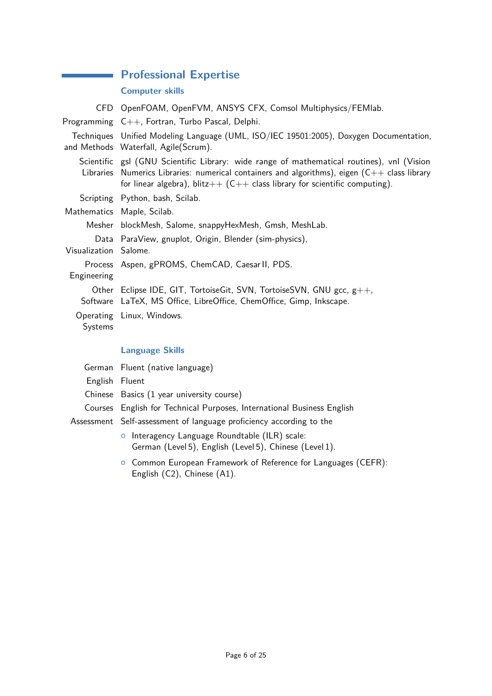# **Professional Expertise**

# **Computer skills**

|                       | CFD OpenFOAM, OpenFVM, ANSYS CFX, Comsol Multiphysics/FEMIab.                                                                                                                                                                                                      |  |  |
|-----------------------|--------------------------------------------------------------------------------------------------------------------------------------------------------------------------------------------------------------------------------------------------------------------|--|--|
|                       | Programming C++, Fortran, Turbo Pascal, Delphi.                                                                                                                                                                                                                    |  |  |
|                       | Techniques Unified Modeling Language (UML, ISO/IEC 19501:2005), Doxygen Documentation,<br>and Methods Waterfall, Agile(Scrum).                                                                                                                                     |  |  |
| Libraries             | Scientific gsl (GNU Scientific Library: wide range of mathematical routines), vnl (Vision<br>Numerics Libraries: numerical containers and algorithms), eigen $(C++$ class library<br>for linear algebra), blitz $++$ (C++ class library for scientific computing). |  |  |
|                       | Scripting Python, bash, Scilab.                                                                                                                                                                                                                                    |  |  |
|                       | Mathematics Maple, Scilab.                                                                                                                                                                                                                                         |  |  |
|                       | Mesher blockMesh, Salome, snappyHexMesh, Gmsh, MeshLab.                                                                                                                                                                                                            |  |  |
| Visualization Salome. | Data ParaView, gnuplot, Origin, Blender (sim-physics),                                                                                                                                                                                                             |  |  |
| Engineering           | Process Aspen, gPROMS, ChemCAD, Caesar II, PDS.                                                                                                                                                                                                                    |  |  |
|                       | Other Eclipse IDE, GIT, TortoiseGit, SVN, TortoiseSVN, GNU gcc, g++,<br>Software LaTeX, MS Office, LibreOffice, ChemOffice, Gimp, Inkscape.                                                                                                                        |  |  |
| Systems               | Operating Linux, Windows.                                                                                                                                                                                                                                          |  |  |
|                       | <b>Language Skills</b>                                                                                                                                                                                                                                             |  |  |
|                       | German Fluent (native language)                                                                                                                                                                                                                                    |  |  |
| English Fluent        |                                                                                                                                                                                                                                                                    |  |  |

|  |  | Chinese Basics (1 year university course) |  |
|--|--|-------------------------------------------|--|
|--|--|-------------------------------------------|--|

- Courses English for Technical Purposes, International Business English
- Assessment Self-assessment of language proficiency according to the
	- o Interagency Language Roundtable [\(ILR\)](http://www.govtilr.org/Skills/IRL Scale History.htm) scale: German (Level 5), English (Level 5), Chinese (Level 1).
	- $\circ$  Common European Framework of Reference for Languages [\(CEFR\):](http://europass.cedefop.europa.eu/en/resources/european-language-levels-cefr) English (C2), Chinese (A1).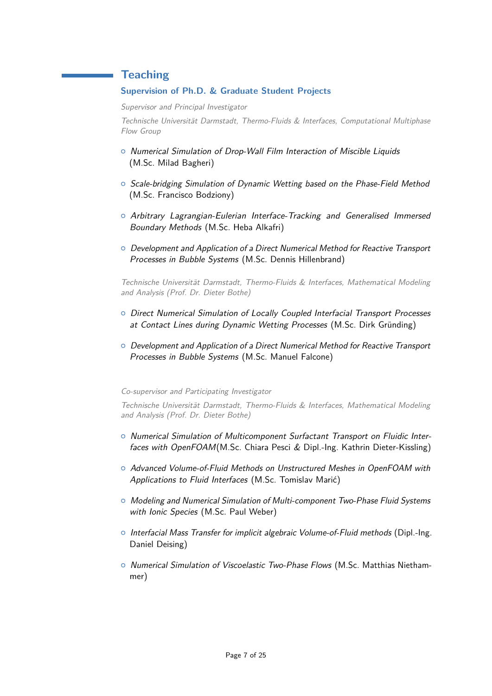# **Teaching**

#### **Supervision of Ph.D. & Graduate Student Projects**

Supervisor and Principal Investigator

Technische Universität Darmstadt, Thermo-Fluids & Interfaces, Computational Multiphase Flow Group

- { Numerical Simulation of Drop-Wall Film Interaction of Miscible Liquids (M.Sc. Milad Bagheri)
- $\circ$  Scale-bridging Simulation of Dynamic Wetting based on the Phase-Field Method (M.Sc. Francisco Bodziony)
- o Arbitrary Lagrangian-Eulerian Interface-Tracking and Generalised Immersed Boundary Methods (M.Sc. Heba Alkafri)
- { Development and Application of a Direct Numerical Method for Reactive Transport Processes in Bubble Systems (M.Sc. Dennis Hillenbrand)

Technische Universität Darmstadt, Thermo-Fluids & Interfaces, Mathematical Modeling and Analysis (Prof. Dr. Dieter Bothe)

- $\circ$  Direct Numerical Simulation of Locally Coupled Interfacial Transport Processes at Contact Lines during Dynamic Wetting Processes (M.Sc. Dirk Gründing)
- $\circ$  Development and Application of a Direct Numerical Method for Reactive Transport Processes in Bubble Systems (M.Sc. Manuel Falcone)

#### Co-supervisor and Participating Investigator

Technische Universität Darmstadt, Thermo-Fluids & Interfaces, Mathematical Modeling and Analysis (Prof. Dr. Dieter Bothe)

- $\circ$  Numerical Simulation of Multicomponent Surfactant Transport on Fluidic Interfaces with OpenFOAM(M.Sc. Chiara Pesci & Dipl.-Ing. Kathrin Dieter-Kissling)
- $\circ$  Advanced Volume-of-Fluid Methods on Unstructured Meshes in OpenFOAM with Applications to Fluid Interfaces (M.Sc. Tomislav Marić)
- **o** Modeling and Numerical Simulation of Multi-component Two-Phase Fluid Systems with *Ionic Species* (M.Sc. Paul Weber)
- $\circ$  Interfacial Mass Transfer for implicit algebraic Volume-of-Fluid methods (Dipl.-Ing. Daniel Deising)
- $\circ$  Numerical Simulation of Viscoelastic Two-Phase Flows (M.Sc. Matthias Niethammer)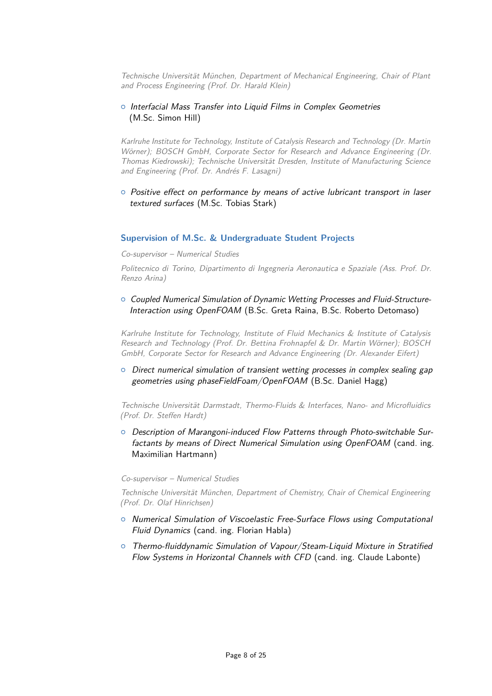Technische Universität München, Department of Mechanical Engineering, Chair of Plant and Process Engineering (Prof. Dr. Harald Klein)

#### o Interfacial Mass Transfer into Liquid Films in Complex Geometries (M.Sc. Simon Hill)

Karlruhe Institute for Technology, Institute of Catalysis Research and Technology (Dr. Martin Wörner); BOSCH GmbH, Corporate Sector for Research and Advance Engineering (Dr. Thomas Kiedrowski); Technische Universität Dresden, Institute of Manufacturing Science and Engineering (Prof. Dr. Andrés F. Lasagni)

 $\circ$  Positive effect on performance by means of active lubricant transport in laser textured surfaces (M.Sc. Tobias Stark)

#### **Supervision of M.Sc. & Undergraduate Student Projects**

Co-supervisor – Numerical Studies

Politecnico di Torino, Dipartimento di Ingegneria Aeronautica e Spaziale (Ass. Prof. Dr. Renzo Arina)

 $\circ$  Coupled Numerical Simulation of Dynamic Wetting Processes and Fluid-Structure-Interaction using OpenFOAM (B.Sc. Greta Raina, B.Sc. Roberto Detomaso)

Karlruhe Institute for Technology, Institute of Fluid Mechanics & Institute of Catalysis Research and Technology (Prof. Dr. Bettina Frohnapfel & Dr. Martin Wörner); BOSCH GmbH, Corporate Sector for Research and Advance Engineering (Dr. Alexander Eifert)

 $\circ$  Direct numerical simulation of transient wetting processes in complex sealing gap geometries using phaseFieldFoam/OpenFOAM (B.Sc. Daniel Hagg)

Technische Universität Darmstadt, Thermo-Fluids & Interfaces, Nano- and Microfluidics (Prof. Dr. Steffen Hardt)

 $\circ$  Description of Marangoni-induced Flow Patterns through Photo-switchable Surfactants by means of Direct Numerical Simulation using OpenFOAM (cand. ing. Maximilian Hartmann)

#### Co-supervisor – Numerical Studies

Technische Universität München, Department of Chemistry, Chair of Chemical Engineering (Prof. Dr. Olaf Hinrichsen)

- $\circ$  Numerical Simulation of Viscoelastic Free-Surface Flows using Computational Fluid Dynamics (cand. ing. Florian Habla)
- $\circ$  Thermo-fluiddynamic Simulation of Vapour/Steam-Liquid Mixture in Stratified Flow Systems in Horizontal Channels with CFD (cand. ing. Claude Labonte)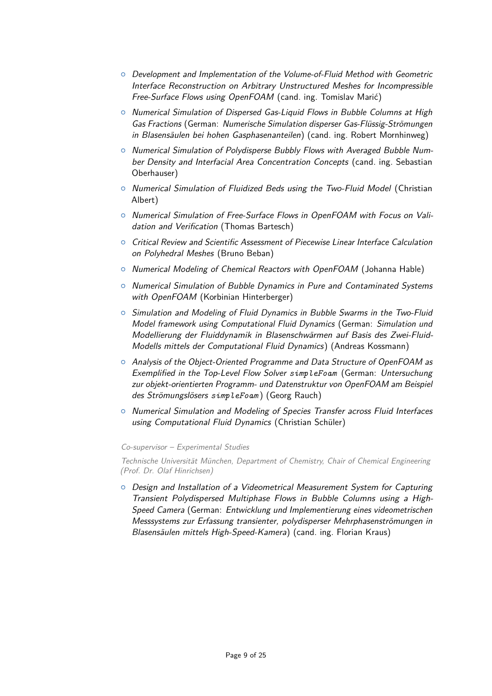- { Development and Implementation of the Volume-of-Fluid Method with Geometric Interface Reconstruction on Arbitrary Unstructured Meshes for Incompressible Free-Surface Flows using OpenFOAM (cand. ing. Tomislav Marić)
- $\circ$  Numerical Simulation of Dispersed Gas-Liquid Flows in Bubble Columns at High Gas Fractions (German: Numerische Simulation disperser Gas-Flüssig-Strömungen in Blasensäulen bei hohen Gasphasenanteilen) (cand. ing. Robert Mornhinweg)
- { Numerical Simulation of Polydisperse Bubbly Flows with Averaged Bubble Number Density and Interfacial Area Concentration Concepts (cand. ing. Sebastian Oberhauser)
- <sup>o</sup> Numerical Simulation of Fluidized Beds using the Two-Fluid Model (Christian Albert)
- { Numerical Simulation of Free-Surface Flows in OpenFOAM with Focus on Validation and Verification (Thomas Bartesch)
- $\circ$  Critical Review and Scientific Assessment of Piecewise Linear Interface Calculation on Polyhedral Meshes (Bruno Beban)
- <sup>o</sup> Numerical Modeling of Chemical Reactors with OpenFOAM (Johanna Hable)
- $\circ$  Numerical Simulation of Bubble Dynamics in Pure and Contaminated Systems with OpenFOAM (Korbinian Hinterberger)
- $\circ$  Simulation and Modeling of Fluid Dynamics in Bubble Swarms in the Two-Fluid Model framework using Computational Fluid Dynamics (German: Simulation und Modellierung der Fluiddynamik in Blasenschwärmen auf Basis des Zwei-Fluid-Modells mittels der Computational Fluid Dynamics) (Andreas Kossmann)
- $\circ$  Analysis of the Object-Oriented Programme and Data Structure of OpenFOAM as Exemplified in the Top-Level Flow Solver *simpleFoam* (German: Untersuchung zur objekt-orientierten Programm- und Datenstruktur von OpenFOAM am Beispiel des Strömungslösers *simpleFoam* ) (Georg Rauch)
- o Numerical Simulation and Modeling of Species Transfer across Fluid Interfaces using Computational Fluid Dynamics (Christian Schüler)

#### Co-supervisor – Experimental Studies

Technische Universität München, Department of Chemistry, Chair of Chemical Engineering (Prof. Dr. Olaf Hinrichsen)

 $\circ$  Design and Installation of a Videometrical Measurement System for Capturing Transient Polydispersed Multiphase Flows in Bubble Columns using a High-Speed Camera (German: Entwicklung und Implementierung eines videometrischen Messsystems zur Erfassung transienter, polydisperser Mehrphasenströmungen in Blasensäulen mittels High-Speed-Kamera) (cand. ing. Florian Kraus)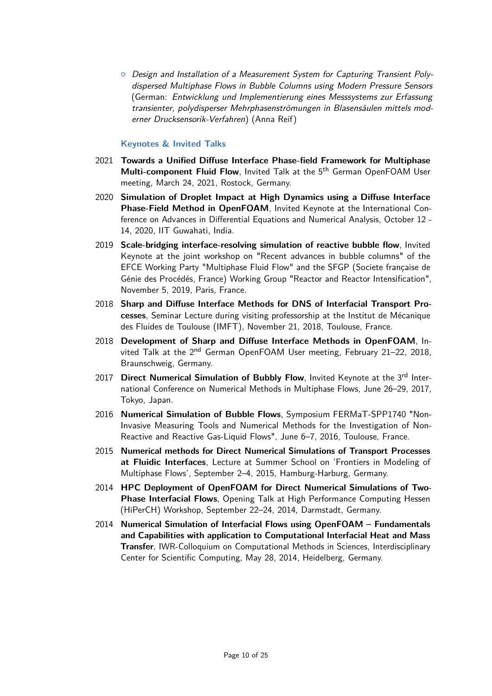$\circ$  Design and Installation of a Measurement System for Capturing Transient Polydispersed Multiphase Flows in Bubble Columns using Modern Pressure Sensors (German: Entwicklung und Implementierung eines Messsystems zur Erfassung transienter, polydisperser Mehrphasenströmungen in Blasensäulen mittels moderner Drucksensorik-Verfahren) (Anna Reif)

#### **Keynotes & Invited Talks**

- 2021 **Towards a Unified Diffuse Interface Phase-field Framework for Multiphase Multi-component Fluid Flow**, Invited Talk at the 5<sup>th</sup> German OpenFOAM User meeting, March 24, 2021, Rostock, Germany.
- 2020 **Simulation of Droplet Impact at High Dynamics using a Diffuse Interface Phase-Field Method in OpenFOAM**, Invited Keynote at the International Conference on Advances in Differential Equations and Numerical Analysis, October 12 - 14, 2020, IIT Guwahati, India.
- 2019 **Scale-bridging interface-resolving simulation of reactive bubble flow**, Invited Keynote at the joint workshop on "Recent advances in bubble columns" of the EFCE Working Party "Multiphase Fluid Flow" and the SFGP (Societe française de Génie des Procédés, France) Working Group "Reactor and Reactor Intensification", November 5, 2019, Paris, France.
- 2018 **Sharp and Diffuse Interface Methods for DNS of Interfacial Transport Processes**, Seminar Lecture during visiting professorship at the Institut de Mécanique des Fluides de Toulouse (IMFT), November 21, 2018, Toulouse, France.
- 2018 **Development of Sharp and Diffuse Interface Methods in OpenFOAM**, Invited Talk at the 2<sup>nd</sup> German OpenFOAM User meeting, February 21-22, 2018, Braunschweig, Germany.
- 2017 **Direct Numerical Simulation of Bubbly Flow**, Invited Keynote at the 3<sup>rd</sup> International Conference on Numerical Methods in Multiphase Flows, June 26–29, 2017, Tokyo, Japan.
- 2016 **Numerical Simulation of Bubble Flows**, Symposium FERMaT-SPP1740 "Non-Invasive Measuring Tools and Numerical Methods for the Investigation of Non-Reactive and Reactive Gas-Liquid Flows", June 6–7, 2016, Toulouse, France.
- 2015 **Numerical methods for Direct Numerical Simulations of Transport Processes at Fluidic Interfaces**, Lecture at Summer School on 'Frontiers in Modeling of Multiphase Flows', September 2–4, 2015, Hamburg-Harburg, Germany.
- 2014 **HPC Deployment of OpenFOAM for Direct Numerical Simulations of Two-Phase Interfacial Flows**, Opening Talk at High Performance Computing Hessen (HiPerCH) Workshop, September 22–24, 2014, Darmstadt, Germany.
- 2014 **Numerical Simulation of Interfacial Flows using OpenFOAM Fundamentals and Capabilities with application to Computational Interfacial Heat and Mass Transfer**, IWR-Colloquium on Computational Methods in Sciences, Interdisciplinary Center for Scientific Computing, May 28, 2014, Heidelberg, Germany.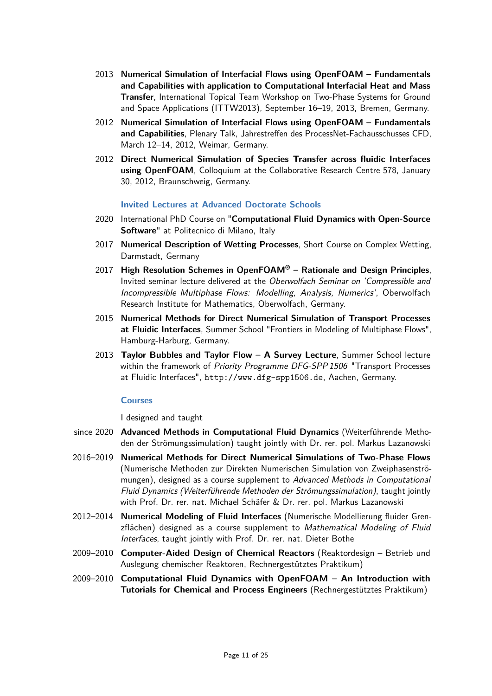- 2013 **Numerical Simulation of Interfacial Flows using OpenFOAM Fundamentals and Capabilities with application to Computational Interfacial Heat and Mass Transfer**, International Topical Team Workshop on Two-Phase Systems for Ground and Space Applications (ITTW2013), September 16–19, 2013, Bremen, Germany.
- 2012 **Numerical Simulation of Interfacial Flows using OpenFOAM Fundamentals and Capabilities**, Plenary Talk, Jahrestreffen des ProcessNet-Fachausschusses CFD, March 12–14, 2012, Weimar, Germany.
- 2012 **Direct Numerical Simulation of Species Transfer across fluidic Interfaces using OpenFOAM**, Colloquium at the Collaborative Research Centre 578, January 30, 2012, Braunschweig, Germany.

#### **Invited Lectures at Advanced Doctorate Schools**

- 2020 International PhD Course on "**Computational Fluid Dynamics with Open-Source Software**" at Politecnico di Milano, Italy
- 2017 **Numerical Description of Wetting Processes**, Short Course on Complex Wetting, Darmstadt, Germany
- 2017 **High Resolution Schemes in OpenFOAM® Rationale and Design Principles**, Invited seminar lecture delivered at the Oberwolfach Seminar on 'Compressible and Incompressible Multiphase Flows: Modelling, Analysis, Numerics', Oberwolfach Research Institute for Mathematics, Oberwolfach, Germany.
- 2015 **Numerical Methods for Direct Numerical Simulation of Transport Processes at Fluidic Interfaces**, Summer School "Frontiers in Modeling of Multiphase Flows", Hamburg-Harburg, Germany.
- 2013 **Taylor Bubbles and Taylor Flow A Survey Lecture**, Summer School lecture within the framework of Priority Programme DFG-SPP 1506 "Transport Processes at Fluidic Interfaces", http://www.dfg-spp1506.de, Aachen, Germany.

#### **Courses**

I designed and taught

- since 2020 **Advanced Methods in Computational Fluid Dynamics** (Weiterführende Methoden der Strömungssimulation) taught jointly with Dr. rer. pol. Markus Lazanowski
- 2016–2019 **Numerical Methods for Direct Numerical Simulations of Two-Phase Flows** (Numerische Methoden zur Direkten Numerischen Simulation von Zweiphasenströmungen), designed as a course supplement to Advanced Methods in Computational Fluid Dynamics (Weiterführende Methoden der Strömungssimulation), taught jointly with Prof. Dr. rer. nat. Michael Schäfer & Dr. rer. pol. Markus Lazanowski
- 2012–2014 **Numerical Modeling of Fluid Interfaces** (Numerische Modellierung fluider Grenzflächen) designed as a course supplement to Mathematical Modeling of Fluid Interfaces, taught jointly with Prof. Dr. rer. nat. Dieter Bothe
- 2009–2010 **Computer-Aided Design of Chemical Reactors** (Reaktordesign Betrieb und Auslegung chemischer Reaktoren, Rechnergestütztes Praktikum)
- 2009–2010 **Computational Fluid Dynamics with OpenFOAM An Introduction with Tutorials for Chemical and Process Engineers** (Rechnergestütztes Praktikum)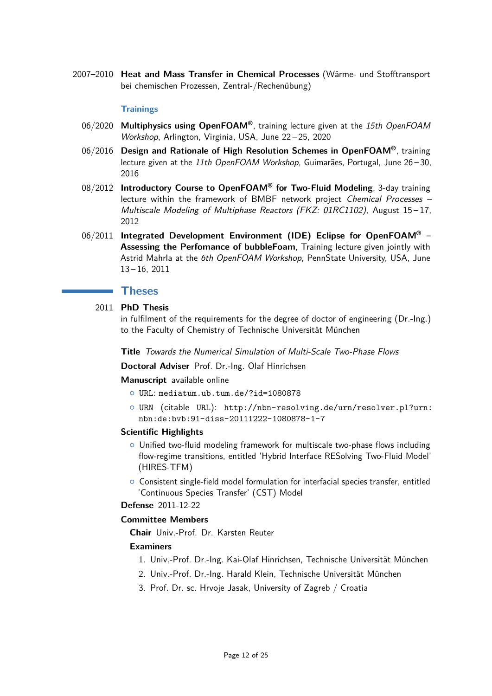2007–2010 **Heat and Mass Transfer in Chemical Processes** (Wärme- und Stofftransport bei chemischen Prozessen, Zentral-/Rechenübung)

#### **Trainings**

- 06/2020 **Multiphysics using OpenFOAM®**, training lecture given at the 15th OpenFOAM Workshop, Arlington, Virginia, USA, June 22 – 25, 2020
- 06/2016 **Design and Rationale of High Resolution Schemes in OpenFOAM®**, training lecture given at the 11th OpenFOAM Workshop, Guimarães, Portugal, June 26-30, 2016
- 08/2012 **Introductory Course to OpenFOAM® for Two-Fluid Modeling**, 3-day training lecture within the framework of BMBF network project Chemical Processes – Multiscale Modeling of Multiphase Reactors (FKZ: 01RC1102), August 15 – 17, 2012
- 06/2011 **Integrated Development Environment (IDE) Eclipse for OpenFOAM® – Assessing the Perfomance of bubbleFoam**, Training lecture given jointly with Astrid Mahrla at the 6th OpenFOAM Workshop, PennState University, USA, June 13 – 16, 2011

## **Theses**

## 2011 **PhD Thesis**

in fulfilment of the requirements for the degree of doctor of engineering (Dr.-Ing.) to the Faculty of Chemistry of Technische Universität München

**Title** Towards the Numerical Simulation of Multi-Scale Two-Phase Flows

**Doctoral Adviser** Prof. Dr.-Ing. Olaf Hinrichsen

**Manuscript** available online

- { URL: [mediatum.ub.tum.de/?id=1080878](http://mediatum.ub.tum.de/?id=1080878)
- { URN (citable URL): [http://nbn-resolving.de/urn/resolver.pl?urn:](http://nbn-resolving.de/urn/resolver.pl?urn:nbn:de:bvb:91-diss-20111222-1080878-1-7) [nbn:de:bvb:91-diss-20111222-1080878-1-7](http://nbn-resolving.de/urn/resolver.pl?urn:nbn:de:bvb:91-diss-20111222-1080878-1-7)

#### **Scientific Highlights**

- $\circ$  Unified two-fluid modeling framework for multiscale two-phase flows including flow-regime transitions, entitled 'Hybrid Interface RESolving Two-Fluid Model' (HIRES-TFM)
- $\circ$  Consistent single-field model formulation for interfacial species transfer, entitled 'Continuous Species Transfer' (CST) Model

**Defense** 2011-12-22

## **Committee Members**

**Chair** Univ.-Prof. Dr. Karsten Reuter

#### **Examiners**

- 1. Univ.-Prof. Dr.-Ing. Kai-Olaf Hinrichsen, Technische Universität München
- 2. Univ.-Prof. Dr.-Ing. Harald Klein, Technische Universität München
- 3. Prof. Dr. sc. Hrvoje Jasak, University of Zagreb / Croatia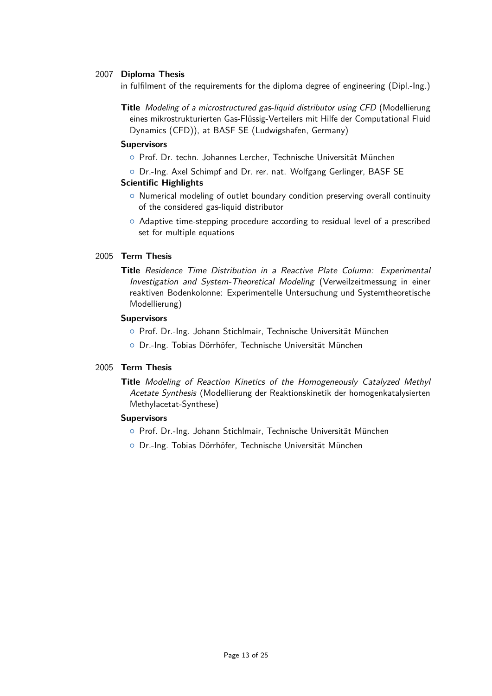#### 2007 **Diploma Thesis**

in fulfilment of the requirements for the diploma degree of engineering (Dipl.-Ing.)

**Title** Modeling of a microstructured gas-liquid distributor using CFD (Modellierung eines mikrostrukturierten Gas-Flüssig-Verteilers mit Hilfe der Computational Fluid Dynamics (CFD)), at BASF SE (Ludwigshafen, Germany)

#### **Supervisors**

- { Prof. Dr. techn. Johannes Lercher, Technische Universität München
- { Dr.-Ing. Axel Schimpf and Dr. rer. nat. Wolfgang Gerlinger, BASF SE **Scientific Highlights**
	- $\circ$  Numerical modeling of outlet boundary condition preserving overall continuity of the considered gas-liquid distributor
	- { Adaptive time-stepping procedure according to residual level of a prescribed set for multiple equations

#### 2005 **Term Thesis**

**Title** Residence Time Distribution in a Reactive Plate Column: Experimental Investigation and System-Theoretical Modeling (Verweilzeitmessung in einer reaktiven Bodenkolonne: Experimentelle Untersuchung und Systemtheoretische Modellierung)

#### **Supervisors**

- { Prof. Dr.-Ing. Johann Stichlmair, Technische Universität München
- { Dr.-Ing. Tobias Dörrhöfer, Technische Universität München

#### 2005 **Term Thesis**

**Title** Modeling of Reaction Kinetics of the Homogeneously Catalyzed Methyl Acetate Synthesis (Modellierung der Reaktionskinetik der homogenkatalysierten Methylacetat-Synthese)

#### **Supervisors**

- { Prof. Dr.-Ing. Johann Stichlmair, Technische Universität München
- { Dr.-Ing. Tobias Dörrhöfer, Technische Universität München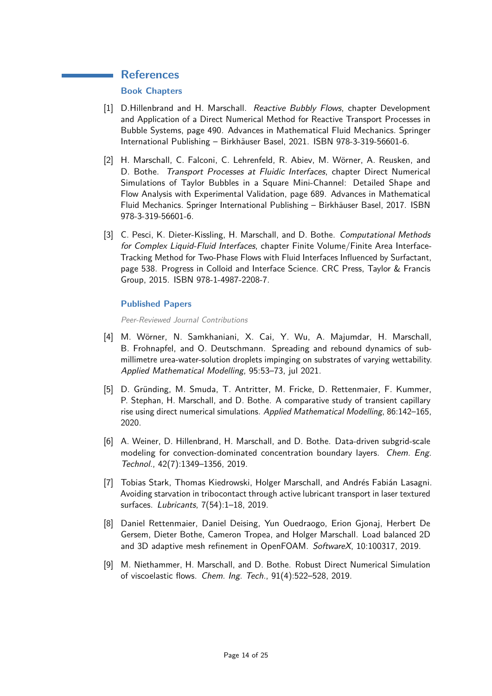# **References**

# **Book Chapters**

- [1] D.Hillenbrand and H. Marschall. Reactive Bubbly Flows, chapter Development and Application of a Direct Numerical Method for Reactive Transport Processes in Bubble Systems, page 490. Advances in Mathematical Fluid Mechanics. Springer International Publishing – Birkhäuser Basel, 2021. ISBN 978-3-319-56601-6.
- [2] H. Marschall, C. Falconi, C. Lehrenfeld, R. Abiev, M. Wörner, A. Reusken, and D. Bothe. Transport Processes at Fluidic Interfaces, chapter Direct Numerical Simulations of Taylor Bubbles in a Square Mini-Channel: Detailed Shape and Flow Analysis with Experimental Validation, page 689. Advances in Mathematical Fluid Mechanics. Springer International Publishing – Birkhäuser Basel, 2017. ISBN 978-3-319-56601-6.
- [3] C. Pesci, K. Dieter-Kissling, H. Marschall, and D. Bothe. Computational Methods for Complex Liquid-Fluid Interfaces, chapter Finite Volume/Finite Area Interface-Tracking Method for Two-Phase Flows with Fluid Interfaces Influenced by Surfactant, page 538. Progress in Colloid and Interface Science. CRC Press, Taylor & Francis Group, 2015. ISBN 978-1-4987-2208-7.

## **Published Papers**

Peer-Reviewed Journal Contributions

- [4] M. Wörner, N. Samkhaniani, X. Cai, Y. Wu, A. Majumdar, H. Marschall, B. Frohnapfel, and O. Deutschmann. Spreading and rebound dynamics of submillimetre urea-water-solution droplets impinging on substrates of varying wettability. Applied Mathematical Modelling, 95:53–73, jul 2021.
- [5] D. Gründing, M. Smuda, T. Antritter, M. Fricke, D. Rettenmaier, F. Kummer, P. Stephan, H. Marschall, and D. Bothe. A comparative study of transient capillary rise using direct numerical simulations. Applied Mathematical Modelling, 86:142–165, 2020.
- [6] A. Weiner, D. Hillenbrand, H. Marschall, and D. Bothe. Data-driven subgrid-scale modeling for convection-dominated concentration boundary layers. Chem. Eng. Technol., 42(7):1349–1356, 2019.
- [7] Tobias Stark, Thomas Kiedrowski, Holger Marschall, and Andrés Fabián Lasagni. Avoiding starvation in tribocontact through active lubricant transport in laser textured surfaces. Lubricants, 7(54):1–18, 2019.
- [8] Daniel Rettenmaier, Daniel Deising, Yun Ouedraogo, Erion Gjonaj, Herbert De Gersem, Dieter Bothe, Cameron Tropea, and Holger Marschall. Load balanced 2D and 3D adaptive mesh refinement in OpenFOAM. SoftwareX, 10:100317, 2019.
- [9] M. Niethammer, H. Marschall, and D. Bothe. Robust Direct Numerical Simulation of viscoelastic flows. Chem. Ing. Tech., 91(4):522–528, 2019.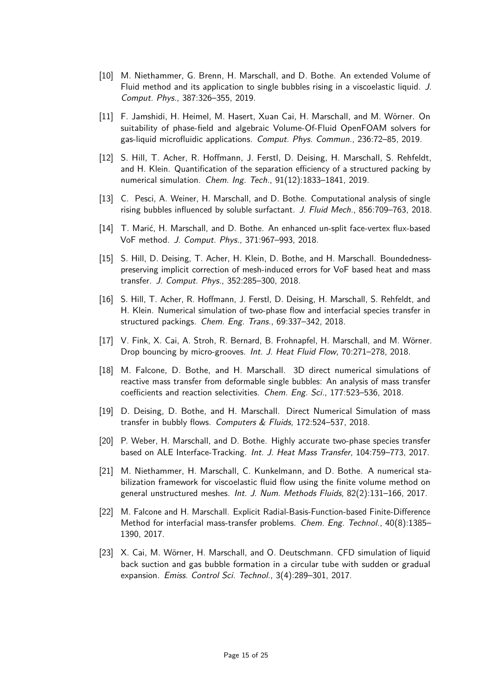- [10] M. Niethammer, G. Brenn, H. Marschall, and D. Bothe. An extended Volume of Fluid method and its application to single bubbles rising in a viscoelastic liquid. J. Comput. Phys., 387:326–355, 2019.
- [11] F. Jamshidi, H. Heimel, M. Hasert, Xuan Cai, H. Marschall, and M. Wörner. On suitability of phase-field and algebraic Volume-Of-Fluid OpenFOAM solvers for gas-liquid microfluidic applications. Comput. Phys. Commun., 236:72–85, 2019.
- [12] S. Hill, T. Acher, R. Hoffmann, J. Ferstl, D. Deising, H. Marschall, S. Rehfeldt, and H. Klein. Quantification of the separation efficiency of a structured packing by numerical simulation. Chem. Ing. Tech., 91(12):1833–1841, 2019.
- [13] C. Pesci, A. Weiner, H. Marschall, and D. Bothe. Computational analysis of single rising bubbles influenced by soluble surfactant. J. Fluid Mech., 856:709–763, 2018.
- [14] T. Marić, H. Marschall, and D. Bothe. An enhanced un-split face-vertex flux-based VoF method. J. Comput. Phys., 371:967–993, 2018.
- [15] S. Hill, D. Deising, T. Acher, H. Klein, D. Bothe, and H. Marschall. Boundednesspreserving implicit correction of mesh-induced errors for VoF based heat and mass transfer. J. Comput. Phys., 352:285–300, 2018.
- [16] S. Hill, T. Acher, R. Hoffmann, J. Ferstl, D. Deising, H. Marschall, S. Rehfeldt, and H. Klein. Numerical simulation of two-phase flow and interfacial species transfer in structured packings. Chem. Eng. Trans., 69:337–342, 2018.
- [17] V. Fink, X. Cai, A. Stroh, R. Bernard, B. Frohnapfel, H. Marschall, and M. Wörner. Drop bouncing by micro-grooves. Int. J. Heat Fluid Flow, 70:271–278, 2018.
- [18] M. Falcone, D. Bothe, and H. Marschall. 3D direct numerical simulations of reactive mass transfer from deformable single bubbles: An analysis of mass transfer coefficients and reaction selectivities. Chem. Eng. Sci., 177:523–536, 2018.
- [19] D. Deising, D. Bothe, and H. Marschall. Direct Numerical Simulation of mass transfer in bubbly flows. Computers & Fluids, 172:524–537, 2018.
- [20] P. Weber, H. Marschall, and D. Bothe. Highly accurate two-phase species transfer based on ALE Interface-Tracking. Int. J. Heat Mass Transfer, 104:759–773, 2017.
- [21] M. Niethammer, H. Marschall, C. Kunkelmann, and D. Bothe. A numerical stabilization framework for viscoelastic fluid flow using the finite volume method on general unstructured meshes. Int. J. Num. Methods Fluids, 82(2):131–166, 2017.
- [22] M. Falcone and H. Marschall. Explicit Radial-Basis-Function-based Finite-Difference Method for interfacial mass-transfer problems. Chem. Eng. Technol., 40(8):1385– 1390, 2017.
- [23] X. Cai, M. Wörner, H. Marschall, and O. Deutschmann. CFD simulation of liquid back suction and gas bubble formation in a circular tube with sudden or gradual expansion. Emiss. Control Sci. Technol., 3(4):289–301, 2017.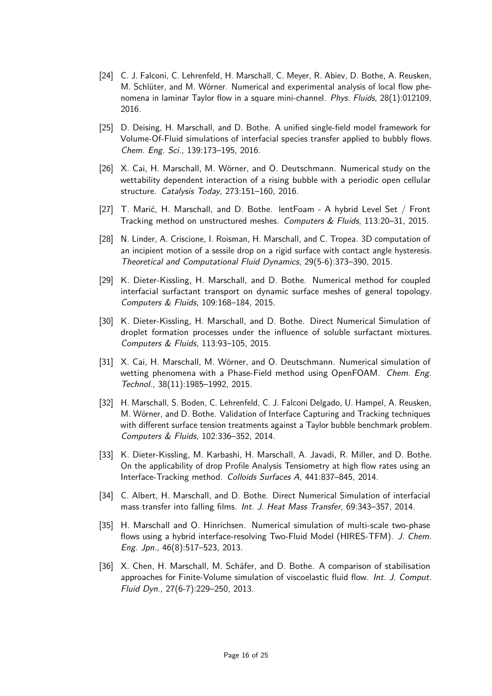- [24] C. J. Falconi, C. Lehrenfeld, H. Marschall, C. Meyer, R. Abiev, D. Bothe, A. Reusken, M. Schlüter, and M. Wörner. Numerical and experimental analysis of local flow phenomena in laminar Taylor flow in a square mini-channel. Phys. Fluids, 28(1):012109, 2016.
- [25] D. Deising, H. Marschall, and D. Bothe. A unified single-field model framework for Volume-Of-Fluid simulations of interfacial species transfer applied to bubbly flows. Chem. Eng. Sci., 139:173–195, 2016.
- [26] X. Cai, H. Marschall, M. Wörner, and O. Deutschmann. Numerical study on the wettability dependent interaction of a rising bubble with a periodic open cellular structure. Catalysis Today, 273:151–160, 2016.
- [27] T. Marić, H. Marschall, and D. Bothe. lentFoam A hybrid Level Set / Front Tracking method on unstructured meshes. Computers & Fluids, 113:20–31, 2015.
- [28] N. Linder, A. Criscione, I. Roisman, H. Marschall, and C. Tropea. 3D computation of an incipient motion of a sessile drop on a rigid surface with contact angle hysteresis. Theoretical and Computational Fluid Dynamics, 29(5-6):373–390, 2015.
- [29] K. Dieter-Kissling, H. Marschall, and D. Bothe. Numerical method for coupled interfacial surfactant transport on dynamic surface meshes of general topology. Computers & Fluids, 109:168–184, 2015.
- [30] K. Dieter-Kissling, H. Marschall, and D. Bothe. Direct Numerical Simulation of droplet formation processes under the influence of soluble surfactant mixtures. Computers & Fluids, 113:93–105, 2015.
- [31] X. Cai, H. Marschall, M. Wörner, and O. Deutschmann. Numerical simulation of wetting phenomena with a Phase-Field method using OpenFOAM. Chem. Eng. Technol., 38(11):1985–1992, 2015.
- [32] H. Marschall, S. Boden, C. Lehrenfeld, C. J. Falconi Delgado, U. Hampel, A. Reusken, M. Wörner, and D. Bothe. Validation of Interface Capturing and Tracking techniques with different surface tension treatments against a Taylor bubble benchmark problem. Computers & Fluids, 102:336–352, 2014.
- [33] K. Dieter-Kissling, M. Karbashi, H. Marschall, A. Javadi, R. Miller, and D. Bothe. On the applicability of drop Profile Analysis Tensiometry at high flow rates using an Interface-Tracking method. Colloids Surfaces A, 441:837–845, 2014.
- [34] C. Albert, H. Marschall, and D. Bothe. Direct Numerical Simulation of interfacial mass transfer into falling films. Int. J. Heat Mass Transfer, 69:343–357, 2014.
- [35] H. Marschall and O. Hinrichsen. Numerical simulation of multi-scale two-phase flows using a hybrid interface-resolving Two-Fluid Model (HIRES-TFM). J. Chem. Eng. Jpn., 46(8):517–523, 2013.
- [36] X. Chen, H. Marschall, M. Schäfer, and D. Bothe. A comparison of stabilisation approaches for Finite-Volume simulation of viscoelastic fluid flow. Int. J. Comput. Fluid Dyn., 27(6-7):229–250, 2013.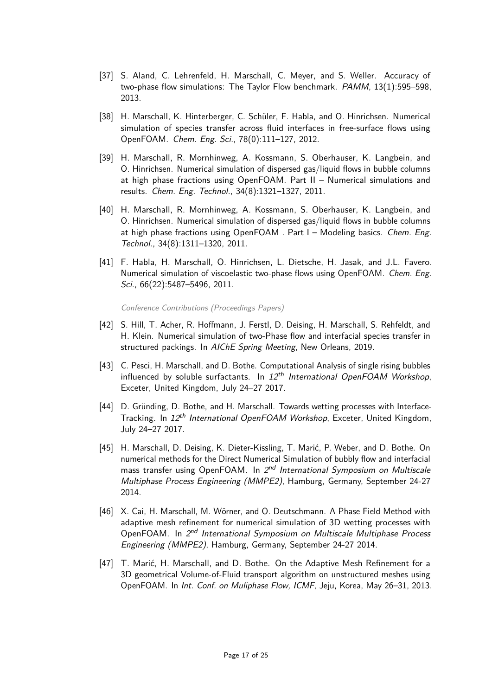- [37] S. Aland, C. Lehrenfeld, H. Marschall, C. Meyer, and S. Weller. Accuracy of two-phase flow simulations: The Taylor Flow benchmark. PAMM, 13(1):595–598, 2013.
- [38] H. Marschall, K. Hinterberger, C. Schüler, F. Habla, and O. Hinrichsen. Numerical simulation of species transfer across fluid interfaces in free-surface flows using OpenFOAM. Chem. Eng. Sci., 78(0):111–127, 2012.
- [39] H. Marschall, R. Mornhinweg, A. Kossmann, S. Oberhauser, K. Langbein, and O. Hinrichsen. Numerical simulation of dispersed gas/liquid flows in bubble columns at high phase fractions using OpenFOAM. Part II – Numerical simulations and results. Chem. Eng. Technol., 34(8):1321–1327, 2011.
- [40] H. Marschall, R. Mornhinweg, A. Kossmann, S. Oberhauser, K. Langbein, and O. Hinrichsen. Numerical simulation of dispersed gas/liquid flows in bubble columns at high phase fractions using OpenFOAM . Part I - Modeling basics. Chem. Eng. Technol., 34(8):1311–1320, 2011.
- [41] F. Habla, H. Marschall, O. Hinrichsen, L. Dietsche, H. Jasak, and J.L. Favero. Numerical simulation of viscoelastic two-phase flows using OpenFOAM. Chem. Eng. Sci., 66(22):5487–5496, 2011.

Conference Contributions (Proceedings Papers)

- [42] S. Hill, T. Acher, R. Hoffmann, J. Ferstl, D. Deising, H. Marschall, S. Rehfeldt, and H. Klein. Numerical simulation of two-Phase flow and interfacial species transfer in structured packings. In AIChE Spring Meeting, New Orleans, 2019.
- [43] C. Pesci, H. Marschall, and D. Bothe. Computational Analysis of single rising bubbles influenced by soluble surfactants. In  $12<sup>th</sup>$  International OpenFOAM Workshop, Exceter, United Kingdom, July 24–27 2017.
- [44] D. Gründing, D. Bothe, and H. Marschall. Towards wetting processes with Interface-Tracking. In 12<sup>th</sup> International OpenFOAM Workshop, Exceter, United Kingdom, July 24–27 2017.
- [45] H. Marschall, D. Deising, K. Dieter-Kissling, T. Marić, P. Weber, and D. Bothe. On numerical methods for the Direct Numerical Simulation of bubbly flow and interfacial mass transfer using OpenFOAM. In 2<sup>nd</sup> International Symposium on Multiscale Multiphase Process Engineering (MMPE2), Hamburg, Germany, September 24-27 2014.
- [46] X. Cai, H. Marschall, M. Wörner, and O. Deutschmann. A Phase Field Method with adaptive mesh refinement for numerical simulation of 3D wetting processes with OpenFOAM. In 2<sup>nd</sup> International Symposium on Multiscale Multiphase Process Engineering (MMPE2), Hamburg, Germany, September 24-27 2014.
- [47] T. Marić, H. Marschall, and D. Bothe. On the Adaptive Mesh Refinement for a 3D geometrical Volume-of-Fluid transport algorithm on unstructured meshes using OpenFOAM. In Int. Conf. on Muliphase Flow, ICMF, Jeju, Korea, May 26–31, 2013.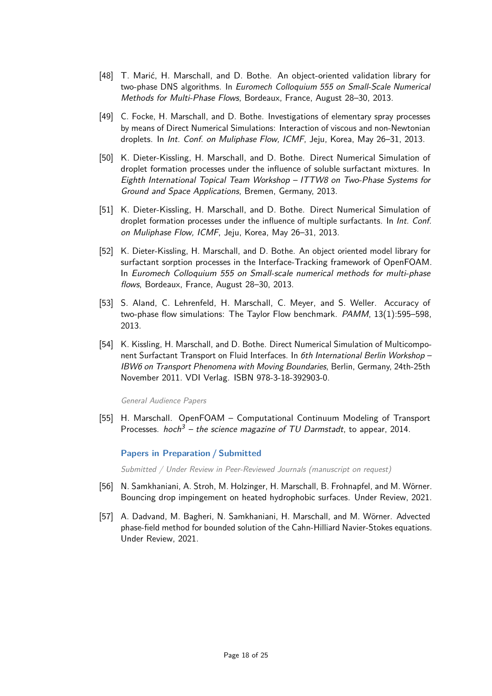- [48] T. Marić, H. Marschall, and D. Bothe. An object-oriented validation library for two-phase DNS algorithms. In Euromech Colloquium 555 on Small-Scale Numerical Methods for Multi-Phase Flows, Bordeaux, France, August 28–30, 2013.
- [49] C. Focke, H. Marschall, and D. Bothe. Investigations of elementary spray processes by means of Direct Numerical Simulations: Interaction of viscous and non-Newtonian droplets. In Int. Conf. on Muliphase Flow, ICMF, Jeju, Korea, May 26–31, 2013.
- [50] K. Dieter-Kissling, H. Marschall, and D. Bothe. Direct Numerical Simulation of droplet formation processes under the influence of soluble surfactant mixtures. In Eighth International Topical Team Workshop – ITTW8 on Two-Phase Systems for Ground and Space Applications, Bremen, Germany, 2013.
- [51] K. Dieter-Kissling, H. Marschall, and D. Bothe. Direct Numerical Simulation of droplet formation processes under the influence of multiple surfactants. In Int. Conf. on Muliphase Flow, ICMF, Jeju, Korea, May 26–31, 2013.
- [52] K. Dieter-Kissling, H. Marschall, and D. Bothe. An object oriented model library for surfactant sorption processes in the Interface-Tracking framework of OpenFOAM. In Euromech Colloquium 555 on Small-scale numerical methods for multi-phase flows, Bordeaux, France, August 28–30, 2013.
- [53] S. Aland, C. Lehrenfeld, H. Marschall, C. Meyer, and S. Weller. Accuracy of two-phase flow simulations: The Taylor Flow benchmark. PAMM, 13(1):595–598, 2013.
- [54] K. Kissling, H. Marschall, and D. Bothe. Direct Numerical Simulation of Multicomponent Surfactant Transport on Fluid Interfaces. In 6th International Berlin Workshop -IBW6 on Transport Phenomena with Moving Boundaries, Berlin, Germany, 24th-25th November 2011. VDI Verlag. ISBN 978-3-18-392903-0.

General Audience Papers

[55] H. Marschall. OpenFOAM – Computational Continuum Modeling of Transport Processes. hoch<sup>3</sup> – the science magazine of TU Darmstadt, to appear, 2014.

#### **Papers in Preparation / Submitted**

Submitted / Under Review in Peer-Reviewed Journals (manuscript on request)

- [56] N. Samkhaniani, A. Stroh, M. Holzinger, H. Marschall, B. Frohnapfel, and M. Wörner. Bouncing drop impingement on heated hydrophobic surfaces. Under Review, 2021.
- [57] A. Dadvand, M. Bagheri, N. Samkhaniani, H. Marschall, and M. Wörner. Advected phase-field method for bounded solution of the Cahn-Hilliard Navier-Stokes equations. Under Review, 2021.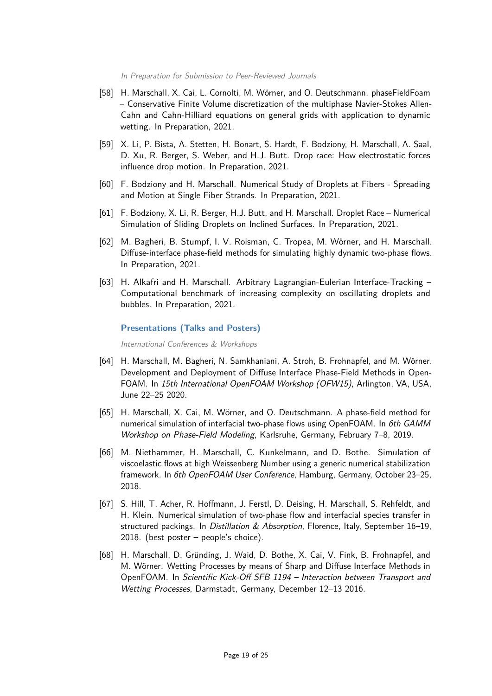In Preparation for Submission to Peer-Reviewed Journals

- [58] H. Marschall, X. Cai, L. Cornolti, M. Wörner, and O. Deutschmann. phaseFieldFoam – Conservative Finite Volume discretization of the multiphase Navier-Stokes Allen-Cahn and Cahn-Hilliard equations on general grids with application to dynamic wetting. In Preparation, 2021.
- [59] X. Li, P. Bista, A. Stetten, H. Bonart, S. Hardt, F. Bodziony, H. Marschall, A. Saal, D. Xu, R. Berger, S. Weber, and H.J. Butt. Drop race: How electrostatic forces influence drop motion. In Preparation, 2021.
- [60] F. Bodziony and H. Marschall. Numerical Study of Droplets at Fibers Spreading and Motion at Single Fiber Strands. In Preparation, 2021.
- [61] F. Bodziony, X. Li, R. Berger, H.J. Butt, and H. Marschall. Droplet Race Numerical Simulation of Sliding Droplets on Inclined Surfaces. In Preparation, 2021.
- [62] M. Bagheri, B. Stumpf, I. V. Roisman, C. Tropea, M. Wörner, and H. Marschall. Diffuse-interface phase-field methods for simulating highly dynamic two-phase flows. In Preparation, 2021.
- [63] H. Alkafri and H. Marschall. Arbitrary Lagrangian-Eulerian Interface-Tracking Computational benchmark of increasing complexity on oscillating droplets and bubbles. In Preparation, 2021.

#### **Presentations (Talks and Posters)**

International Conferences & Workshops

- [64] H. Marschall, M. Bagheri, N. Samkhaniani, A. Stroh, B. Frohnapfel, and M. Wörner. Development and Deployment of Diffuse Interface Phase-Field Methods in Open-FOAM. In 15th International OpenFOAM Workshop (OFW15), Arlington, VA, USA, June 22–25 2020.
- [65] H. Marschall, X. Cai, M. Wörner, and O. Deutschmann. A phase-field method for numerical simulation of interfacial two-phase flows using OpenFOAM. In 6th GAMM Workshop on Phase-Field Modeling, Karlsruhe, Germany, February 7–8, 2019.
- [66] M. Niethammer, H. Marschall, C. Kunkelmann, and D. Bothe. Simulation of viscoelastic flows at high Weissenberg Number using a generic numerical stabilization framework. In 6th OpenFOAM User Conference, Hamburg, Germany, October 23–25, 2018.
- [67] S. Hill, T. Acher, R. Hoffmann, J. Ferstl, D. Deising, H. Marschall, S. Rehfeldt, and H. Klein. Numerical simulation of two-phase flow and interfacial species transfer in structured packings. In Distillation & Absorption, Florence, Italy, September 16–19, 2018. (best poster – people's choice).
- [68] H. Marschall, D. Gründing, J. Waid, D. Bothe, X. Cai, V. Fink, B. Frohnapfel, and M. Wörner. Wetting Processes by means of Sharp and Diffuse Interface Methods in OpenFOAM. In Scientific Kick-Off SFB 1194 – Interaction between Transport and Wetting Processes, Darmstadt, Germany, December 12–13 2016.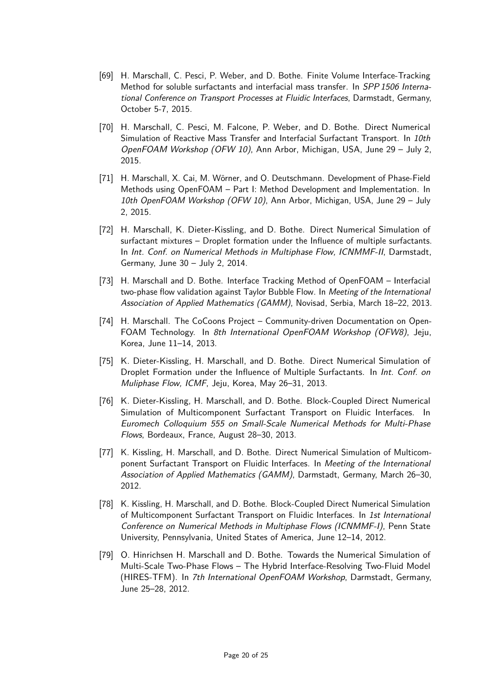- [69] H. Marschall, C. Pesci, P. Weber, and D. Bothe. Finite Volume Interface-Tracking Method for soluble surfactants and interfacial mass transfer. In SPP 1506 International Conference on Transport Processes at Fluidic Interfaces, Darmstadt, Germany, October 5-7, 2015.
- [70] H. Marschall, C. Pesci, M. Falcone, P. Weber, and D. Bothe. Direct Numerical Simulation of Reactive Mass Transfer and Interfacial Surfactant Transport. In 10th OpenFOAM Workshop (OFW 10), Ann Arbor, Michigan, USA, June 29 – July 2, 2015.
- [71] H. Marschall, X. Cai, M. Wörner, and O. Deutschmann. Development of Phase-Field Methods using OpenFOAM – Part I: Method Development and Implementation. In 10th OpenFOAM Workshop (OFW 10), Ann Arbor, Michigan, USA, June 29 - July 2, 2015.
- [72] H. Marschall, K. Dieter-Kissling, and D. Bothe. Direct Numerical Simulation of surfactant mixtures – Droplet formation under the Influence of multiple surfactants. In Int. Conf. on Numerical Methods in Multiphase Flow, ICNMMF-II, Darmstadt, Germany, June 30 – July 2, 2014.
- [73] H. Marschall and D. Bothe. Interface Tracking Method of OpenFOAM Interfacial two-phase flow validation against Taylor Bubble Flow. In Meeting of the International Association of Applied Mathematics (GAMM), Novisad, Serbia, March 18–22, 2013.
- [74] H. Marschall. The CoCoons Project Community-driven Documentation on Open-FOAM Technology. In 8th International OpenFOAM Workshop (OFW8), Jeju, Korea, June 11–14, 2013.
- [75] K. Dieter-Kissling, H. Marschall, and D. Bothe. Direct Numerical Simulation of Droplet Formation under the Influence of Multiple Surfactants. In Int. Conf. on Muliphase Flow, ICMF, Jeju, Korea, May 26–31, 2013.
- [76] K. Dieter-Kissling, H. Marschall, and D. Bothe. Block-Coupled Direct Numerical Simulation of Multicomponent Surfactant Transport on Fluidic Interfaces. In Euromech Colloquium 555 on Small-Scale Numerical Methods for Multi-Phase Flows, Bordeaux, France, August 28–30, 2013.
- [77] K. Kissling, H. Marschall, and D. Bothe. Direct Numerical Simulation of Multicomponent Surfactant Transport on Fluidic Interfaces. In Meeting of the International Association of Applied Mathematics (GAMM), Darmstadt, Germany, March 26–30, 2012.
- [78] K. Kissling, H. Marschall, and D. Bothe. Block-Coupled Direct Numerical Simulation of Multicomponent Surfactant Transport on Fluidic Interfaces. In 1st International Conference on Numerical Methods in Multiphase Flows (ICNMMF-I), Penn State University, Pennsylvania, United States of America, June 12–14, 2012.
- [79] O. Hinrichsen H. Marschall and D. Bothe. Towards the Numerical Simulation of Multi-Scale Two-Phase Flows – The Hybrid Interface-Resolving Two-Fluid Model (HIRES-TFM). In 7th International OpenFOAM Workshop, Darmstadt, Germany, June 25–28, 2012.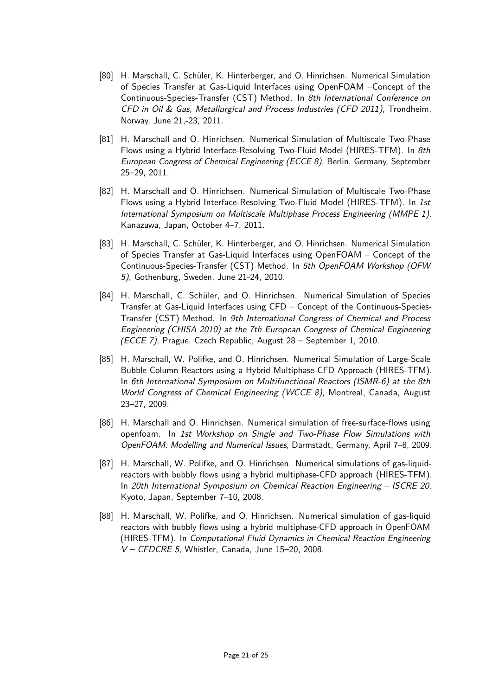- [80] H. Marschall, C. Schüler, K. Hinterberger, and O. Hinrichsen. Numerical Simulation of Species Transfer at Gas-Liquid Interfaces using OpenFOAM –Concept of the Continuous-Species-Transfer (CST) Method. In 8th International Conference on CFD in Oil  $\&$  Gas, Metallurgical and Process Industries (CFD 2011), Trondheim, Norway, June 21,-23, 2011.
- [81] H. Marschall and O. Hinrichsen. Numerical Simulation of Multiscale Two-Phase Flows using a Hybrid Interface-Resolving Two-Fluid Model (HIRES-TFM). In 8th European Congress of Chemical Engineering (ECCE 8), Berlin, Germany, September 25–29, 2011.
- [82] H. Marschall and O. Hinrichsen. Numerical Simulation of Multiscale Two-Phase Flows using a Hybrid Interface-Resolving Two-Fluid Model (HIRES-TFM). In 1st International Symposium on Multiscale Multiphase Process Engineering (MMPE 1), Kanazawa, Japan, October 4–7, 2011.
- [83] H. Marschall, C. Schüler, K. Hinterberger, and O. Hinrichsen. Numerical Simulation of Species Transfer at Gas-Liquid Interfaces using OpenFOAM – Concept of the Continuous-Species-Transfer (CST) Method. In 5th OpenFOAM Workshop (OFW 5), Gothenburg, Sweden, June 21-24, 2010.
- [84] H. Marschall, C. Schüler, and O. Hinrichsen. Numerical Simulation of Species Transfer at Gas-Liquid Interfaces using CFD – Concept of the Continuous-Species-Transfer (CST) Method. In 9th International Congress of Chemical and Process Engineering (CHISA 2010) at the 7th European Congress of Chemical Engineering (ECCE 7), Prague, Czech Republic, August 28 – September 1, 2010.
- [85] H. Marschall, W. Polifke, and O. Hinrichsen. Numerical Simulation of Large-Scale Bubble Column Reactors using a Hybrid Multiphase-CFD Approach (HIRES-TFM). In 6th International Symposium on Multifunctional Reactors (ISMR-6) at the 8th World Congress of Chemical Engineering (WCCE 8), Montreal, Canada, August 23–27, 2009.
- [86] H. Marschall and O. Hinrichsen. Numerical simulation of free-surface-flows using openfoam. In 1st Workshop on Single and Two-Phase Flow Simulations with OpenFOAM: Modelling and Numerical Issues, Darmstadt, Germany, April 7–8, 2009.
- [87] H. Marschall, W. Polifke, and O. Hinrichsen. Numerical simulations of gas-liquidreactors with bubbly flows using a hybrid multiphase-CFD approach (HIRES-TFM). In 20th International Symposium on Chemical Reaction Engineering – ISCRE 20, Kyoto, Japan, September 7–10, 2008.
- [88] H. Marschall, W. Polifke, and O. Hinrichsen. Numerical simulation of gas-liquid reactors with bubbly flows using a hybrid multiphase-CFD approach in OpenFOAM (HIRES-TFM). In Computational Fluid Dynamics in Chemical Reaction Engineering V – CFDCRE 5, Whistler, Canada, June 15–20, 2008.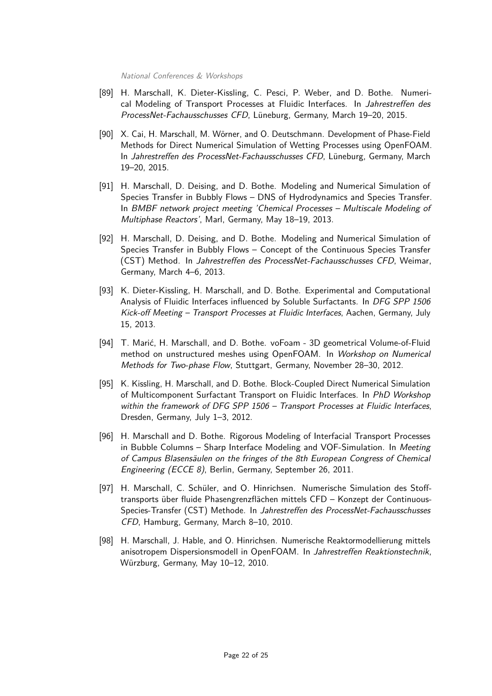National Conferences & Workshops

- [89] H. Marschall, K. Dieter-Kissling, C. Pesci, P. Weber, and D. Bothe. Numerical Modeling of Transport Processes at Fluidic Interfaces. In Jahrestreffen des ProcessNet-Fachausschusses CFD, Lüneburg, Germany, March 19–20, 2015.
- [90] X. Cai, H. Marschall, M. Wörner, and O. Deutschmann. Development of Phase-Field Methods for Direct Numerical Simulation of Wetting Processes using OpenFOAM. In Jahrestreffen des ProcessNet-Fachausschusses CFD, Lüneburg, Germany, March 19–20, 2015.
- [91] H. Marschall, D. Deising, and D. Bothe. Modeling and Numerical Simulation of Species Transfer in Bubbly Flows – DNS of Hydrodynamics and Species Transfer. In BMBF network project meeting 'Chemical Processes – Multiscale Modeling of Multiphase Reactors', Marl, Germany, May 18–19, 2013.
- [92] H. Marschall, D. Deising, and D. Bothe. Modeling and Numerical Simulation of Species Transfer in Bubbly Flows – Concept of the Continuous Species Transfer (CST) Method. In Jahrestreffen des ProcessNet-Fachausschusses CFD, Weimar, Germany, March 4–6, 2013.
- [93] K. Dieter-Kissling, H. Marschall, and D. Bothe. Experimental and Computational Analysis of Fluidic Interfaces influenced by Soluble Surfactants. In DFG SPP 1506 Kick-off Meeting – Transport Processes at Fluidic Interfaces, Aachen, Germany, July 15, 2013.
- [94] T. Marić, H. Marschall, and D. Bothe. voFoam 3D geometrical Volume-of-Fluid method on unstructured meshes using OpenFOAM. In Workshop on Numerical Methods for Two-phase Flow, Stuttgart, Germany, November 28–30, 2012.
- [95] K. Kissling, H. Marschall, and D. Bothe. Block-Coupled Direct Numerical Simulation of Multicomponent Surfactant Transport on Fluidic Interfaces. In PhD Workshop within the framework of DFG SPP 1506 - Transport Processes at Fluidic Interfaces, Dresden, Germany, July 1–3, 2012.
- [96] H. Marschall and D. Bothe. Rigorous Modeling of Interfacial Transport Processes in Bubble Columns – Sharp Interface Modeling and VOF-Simulation. In Meeting of Campus Blasensäulen on the fringes of the 8th European Congress of Chemical Engineering (ECCE 8), Berlin, Germany, September 26, 2011.
- [97] H. Marschall, C. Schüler, and O. Hinrichsen. Numerische Simulation des Stofftransports über fluide Phasengrenzflächen mittels CFD – Konzept der Continuous-Species-Transfer (CST) Methode. In Jahrestreffen des ProcessNet-Fachausschusses CFD, Hamburg, Germany, March 8–10, 2010.
- [98] H. Marschall, J. Hable, and O. Hinrichsen. Numerische Reaktormodellierung mittels anisotropem Dispersionsmodell in OpenFOAM. In Jahrestreffen Reaktionstechnik, Würzburg, Germany, May 10–12, 2010.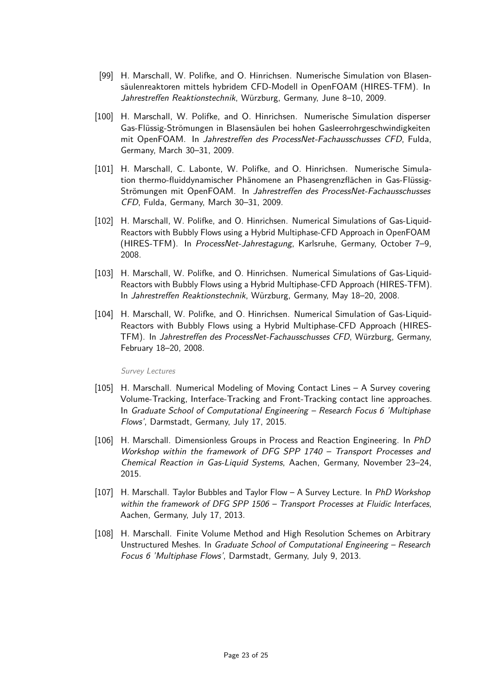- [99] H. Marschall, W. Polifke, and O. Hinrichsen. Numerische Simulation von Blasensäulenreaktoren mittels hybridem CFD-Modell in OpenFOAM (HIRES-TFM). In Jahrestreffen Reaktionstechnik, Würzburg, Germany, June 8–10, 2009.
- [100] H. Marschall, W. Polifke, and O. Hinrichsen. Numerische Simulation disperser Gas-Flüssig-Strömungen in Blasensäulen bei hohen Gasleerrohrgeschwindigkeiten mit OpenFOAM. In Jahrestreffen des ProcessNet-Fachausschusses CFD, Fulda, Germany, March 30–31, 2009.
- [101] H. Marschall, C. Labonte, W. Polifke, and O. Hinrichsen. Numerische Simulation thermo-fluiddynamischer Phänomene an Phasengrenzflächen in Gas-Flüssig-Strömungen mit OpenFOAM. In Jahrestreffen des ProcessNet-Fachausschusses CFD, Fulda, Germany, March 30–31, 2009.
- [102] H. Marschall, W. Polifke, and O. Hinrichsen. Numerical Simulations of Gas-Liquid-Reactors with Bubbly Flows using a Hybrid Multiphase-CFD Approach in OpenFOAM (HIRES-TFM). In ProcessNet-Jahrestagung, Karlsruhe, Germany, October 7–9, 2008.
- [103] H. Marschall, W. Polifke, and O. Hinrichsen. Numerical Simulations of Gas-Liquid-Reactors with Bubbly Flows using a Hybrid Multiphase-CFD Approach (HIRES-TFM). In Jahrestreffen Reaktionstechnik, Würzburg, Germany, May 18–20, 2008.
- [104] H. Marschall, W. Polifke, and O. Hinrichsen. Numerical Simulation of Gas-Liquid-Reactors with Bubbly Flows using a Hybrid Multiphase-CFD Approach (HIRES-TFM). In Jahrestreffen des ProcessNet-Fachausschusses CFD, Würzburg, Germany, February 18–20, 2008.

Survey Lectures

- [105] H. Marschall. Numerical Modeling of Moving Contact Lines A Survey covering Volume-Tracking, Interface-Tracking and Front-Tracking contact line approaches. In Graduate School of Computational Engineering – Research Focus 6 'Multiphase Flows', Darmstadt, Germany, July 17, 2015.
- [106] H. Marschall. Dimensionless Groups in Process and Reaction Engineering. In PhD Workshop within the framework of DFG SPP 1740 – Transport Processes and Chemical Reaction in Gas-Liquid Systems, Aachen, Germany, November 23–24, 2015.
- [107] H. Marschall. Taylor Bubbles and Taylor Flow A Survey Lecture. In PhD Workshop within the framework of DFG SPP 1506 - Transport Processes at Fluidic Interfaces, Aachen, Germany, July 17, 2013.
- [108] H. Marschall. Finite Volume Method and High Resolution Schemes on Arbitrary Unstructured Meshes. In Graduate School of Computational Engineering – Research Focus 6 'Multiphase Flows', Darmstadt, Germany, July 9, 2013.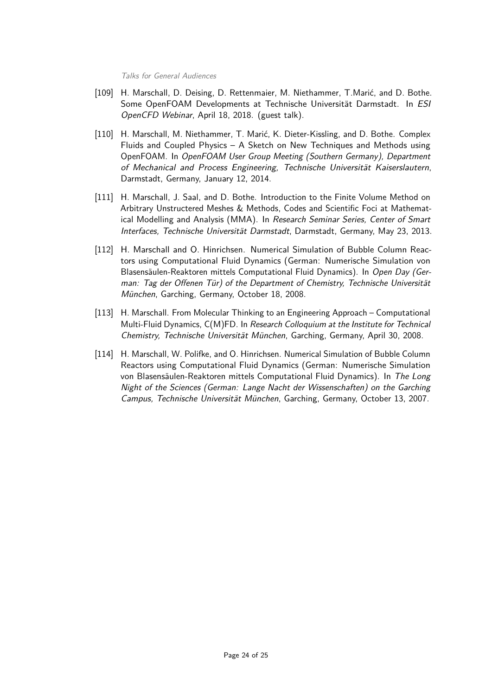Talks for General Audiences

- [109] H. Marschall, D. Deising, D. Rettenmaier, M. Niethammer, T.Marić, and D. Bothe. Some OpenFOAM Developments at Technische Universität Darmstadt. In ESI OpenCFD Webinar, April 18, 2018. (guest talk).
- [110] H. Marschall, M. Niethammer, T. Marić, K. Dieter-Kissling, and D. Bothe. Complex Fluids and Coupled Physics – A Sketch on New Techniques and Methods using OpenFOAM. In OpenFOAM User Group Meeting (Southern Germany), Department of Mechanical and Process Engineering, Technische Universität Kaiserslautern, Darmstadt, Germany, January 12, 2014.
- [111] H. Marschall, J. Saal, and D. Bothe. Introduction to the Finite Volume Method on Arbitrary Unstructered Meshes & Methods, Codes and Scientific Foci at Mathematical Modelling and Analysis (MMA). In Research Seminar Series, Center of Smart Interfaces, Technische Universität Darmstadt, Darmstadt, Germany, May 23, 2013.
- [112] H. Marschall and O. Hinrichsen. Numerical Simulation of Bubble Column Reactors using Computational Fluid Dynamics (German: Numerische Simulation von Blasensäulen-Reaktoren mittels Computational Fluid Dynamics). In Open Day (German: Tag der Offenen Tür) of the Department of Chemistry, Technische Universität München, Garching, Germany, October 18, 2008.
- [113] H. Marschall. From Molecular Thinking to an Engineering Approach Computational Multi-Fluid Dynamics, C(M)FD. In Research Colloquium at the Institute for Technical Chemistry, Technische Universität München, Garching, Germany, April 30, 2008.
- [114] H. Marschall, W. Polifke, and O. Hinrichsen. Numerical Simulation of Bubble Column Reactors using Computational Fluid Dynamics (German: Numerische Simulation von Blasensäulen-Reaktoren mittels Computational Fluid Dynamics). In The Long Night of the Sciences (German: Lange Nacht der Wissenschaften) on the Garching Campus, Technische Universität München, Garching, Germany, October 13, 2007.